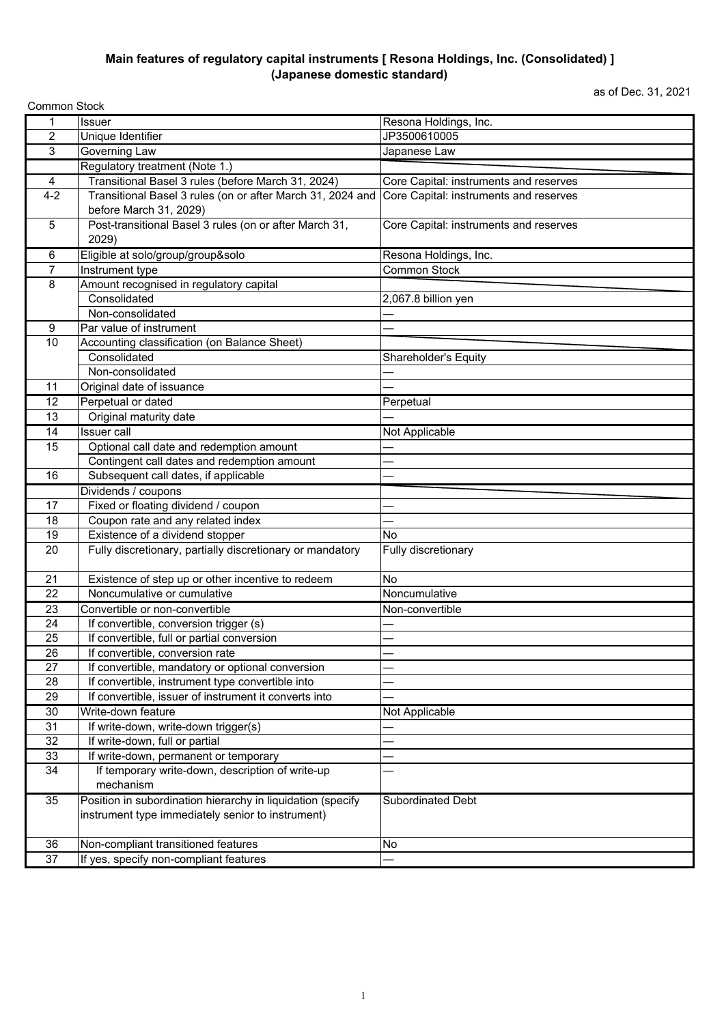## **Main features of regulatory capital instruments [ Resona Holdings, Inc. (Consolidated) ] (Japanese domestic standard)**

as of Dec. 31, 2021

| <b>Common Stock</b> |                                                                               |                                        |
|---------------------|-------------------------------------------------------------------------------|----------------------------------------|
| 1                   | <b>Issuer</b>                                                                 | Resona Holdings, Inc.                  |
| $\overline{2}$      | Unique Identifier                                                             | JP3500610005                           |
| 3                   | <b>Governing Law</b>                                                          | Japanese Law                           |
|                     | Regulatory treatment (Note 1.)                                                |                                        |
| 4                   | Transitional Basel 3 rules (before March 31, 2024)                            | Core Capital: instruments and reserves |
| $4 - 2$             | Transitional Basel 3 rules (on or after March 31, 2024 and                    | Core Capital: instruments and reserves |
|                     | before March 31, 2029)                                                        |                                        |
| 5                   | Post-transitional Basel 3 rules (on or after March 31,                        | Core Capital: instruments and reserves |
|                     | 2029)                                                                         |                                        |
| 6                   | Eligible at solo/group/group&solo                                             | Resona Holdings, Inc.                  |
| $\overline{7}$      | Instrument type                                                               | <b>Common Stock</b>                    |
| 8                   | Amount recognised in regulatory capital                                       |                                        |
|                     | Consolidated                                                                  | $2,067.8$ billion yen                  |
|                     | Non-consolidated                                                              |                                        |
| 9                   | Par value of instrument                                                       |                                        |
| 10                  | Accounting classification (on Balance Sheet)                                  |                                        |
|                     | Consolidated                                                                  | Shareholder's Equity                   |
|                     | Non-consolidated                                                              |                                        |
| 11                  | Original date of issuance                                                     |                                        |
| 12                  | Perpetual or dated                                                            | Perpetual                              |
| 13                  | Original maturity date                                                        |                                        |
| 14                  | <b>Issuer</b> call                                                            | Not Applicable                         |
| 15                  | Optional call date and redemption amount                                      |                                        |
|                     | Contingent call dates and redemption amount                                   |                                        |
| 16                  | Subsequent call dates, if applicable                                          |                                        |
|                     |                                                                               |                                        |
|                     | Dividends / coupons                                                           |                                        |
| 17                  | Fixed or floating dividend / coupon                                           |                                        |
| 18                  | Coupon rate and any related index                                             |                                        |
| 19                  | Existence of a dividend stopper                                               | No                                     |
| 20                  | Fully discretionary, partially discretionary or mandatory                     | Fully discretionary                    |
|                     |                                                                               |                                        |
| 21                  | Existence of step up or other incentive to redeem                             | No                                     |
| 22                  | Noncumulative or cumulative                                                   | Noncumulative                          |
| 23                  | Convertible or non-convertible                                                | Non-convertible                        |
| 24                  | If convertible, conversion trigger (s)                                        |                                        |
| 25                  | If convertible, full or partial conversion                                    |                                        |
| 26                  | If convertible, conversion rate                                               |                                        |
| 27                  | If convertible, mandatory or optional conversion                              |                                        |
| 28                  | If convertible, instrument type convertible into                              |                                        |
| 29                  | If convertible, issuer of instrument it converts into                         |                                        |
| 30                  | Write-down feature                                                            | Not Applicable                         |
| 31                  | If write-down, write-down trigger(s)                                          |                                        |
| 32                  | If write-down, full or partial                                                |                                        |
| 33                  | If write-down, permanent or temporary                                         |                                        |
| 34                  | If temporary write-down, description of write-up                              |                                        |
|                     | mechanism                                                                     |                                        |
| 35                  | Position in subordination hierarchy in liquidation (specify                   | Subordinated Debt                      |
|                     | instrument type immediately senior to instrument)                             |                                        |
|                     |                                                                               |                                        |
| 36<br>37            | Non-compliant transitioned features<br>If yes, specify non-compliant features | No                                     |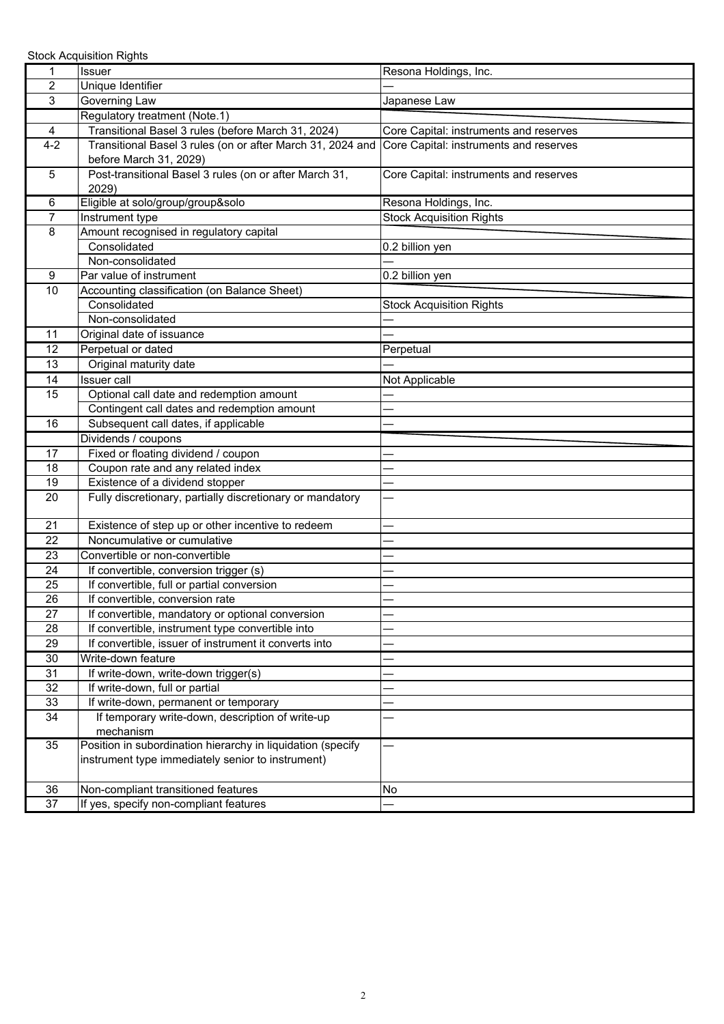Stock Acquisition Rights

| 1               | Issuer                                                      | Resona Holdings, Inc.                  |
|-----------------|-------------------------------------------------------------|----------------------------------------|
| 2               | Unique Identifier                                           |                                        |
| 3               | Governing Law                                               | Japanese Law                           |
|                 | Regulatory treatment (Note.1)                               |                                        |
| 4               | Transitional Basel 3 rules (before March 31, 2024)          | Core Capital: instruments and reserves |
| $4 - 2$         | Transitional Basel 3 rules (on or after March 31, 2024 and  | Core Capital: instruments and reserves |
|                 | before March 31, 2029)                                      |                                        |
| 5               | Post-transitional Basel 3 rules (on or after March 31,      | Core Capital: instruments and reserves |
|                 | 2029)                                                       |                                        |
| 6               | Eligible at solo/group/group&solo                           | Resona Holdings, Inc.                  |
| $\overline{7}$  | Instrument type                                             | <b>Stock Acquisition Rights</b>        |
| 8               | Amount recognised in regulatory capital                     |                                        |
|                 | Consolidated                                                | 0.2 billion yen                        |
|                 | Non-consolidated                                            |                                        |
| 9               | Par value of instrument                                     | 0.2 billion yen                        |
| $\overline{10}$ | Accounting classification (on Balance Sheet)                |                                        |
|                 | Consolidated                                                | <b>Stock Acquisition Rights</b>        |
|                 | Non-consolidated                                            |                                        |
| 11              | Original date of issuance                                   |                                        |
| 12              | Perpetual or dated                                          | Perpetual                              |
| 13              | Original maturity date                                      |                                        |
| 14              | <b>Issuer</b> call                                          | Not Applicable                         |
| 15              | Optional call date and redemption amount                    |                                        |
|                 | Contingent call dates and redemption amount                 |                                        |
| 16              | Subsequent call dates, if applicable                        |                                        |
|                 | Dividends / coupons                                         |                                        |
| 17              | Fixed or floating dividend / coupon                         |                                        |
| 18              | Coupon rate and any related index                           |                                        |
| 19              | Existence of a dividend stopper                             |                                        |
| 20              | Fully discretionary, partially discretionary or mandatory   |                                        |
|                 |                                                             |                                        |
| 21              | Existence of step up or other incentive to redeem           |                                        |
| 22              | Noncumulative or cumulative                                 |                                        |
| 23              | Convertible or non-convertible                              |                                        |
| 24              | If convertible, conversion trigger (s)                      |                                        |
| 25              | If convertible, full or partial conversion                  |                                        |
| 26              | If convertible, conversion rate                             |                                        |
| 27              | If convertible, mandatory or optional conversion            |                                        |
| 28              | If convertible, instrument type convertible into            |                                        |
| 29              | If convertible, issuer of instrument it converts into       |                                        |
| 30              | Write-down feature                                          |                                        |
| 31              | If write-down, write-down trigger(s)                        |                                        |
| 32              | If write-down, full or partial                              |                                        |
| 33              | If write-down, permanent or temporary                       |                                        |
| 34              | If temporary write-down, description of write-up            |                                        |
|                 | mechanism                                                   |                                        |
| 35              | Position in subordination hierarchy in liquidation (specify |                                        |
|                 | instrument type immediately senior to instrument)           |                                        |
|                 |                                                             |                                        |
| 36              | Non-compliant transitioned features                         | <b>No</b>                              |
| 37              | If yes, specify non-compliant features                      |                                        |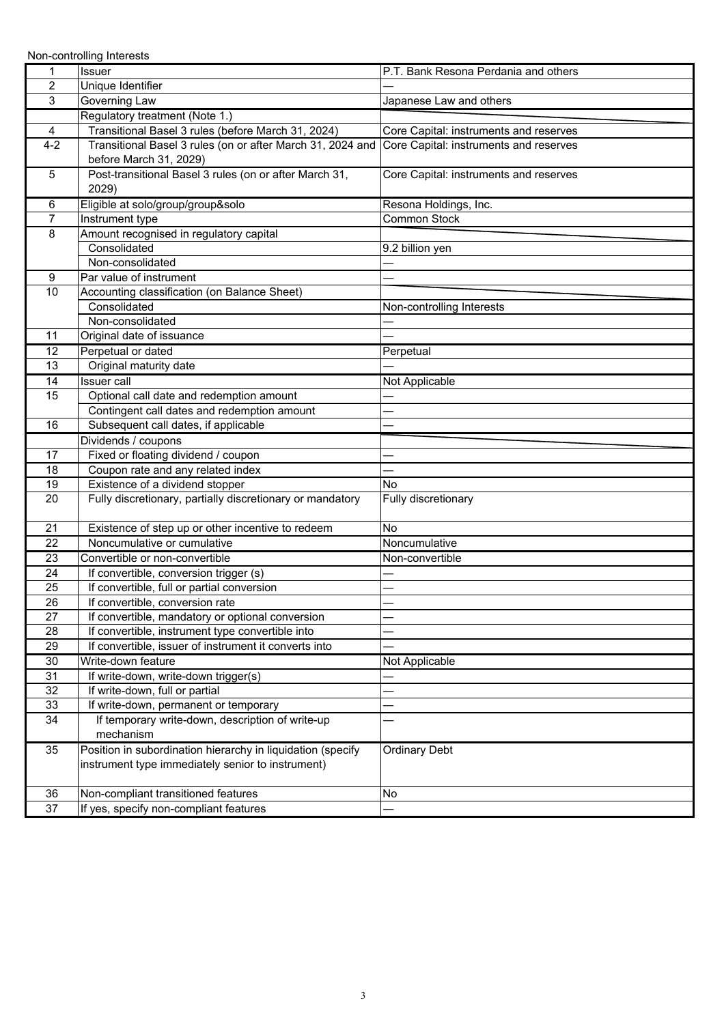Non-controlling Interests

| 1              | Issuer                                                                               | P.T. Bank Resona Perdania and others   |
|----------------|--------------------------------------------------------------------------------------|----------------------------------------|
| $\overline{2}$ | Unique Identifier                                                                    |                                        |
| 3              | Governing Law                                                                        | Japanese Law and others                |
|                | Regulatory treatment (Note 1.)                                                       |                                        |
| 4              | Transitional Basel 3 rules (before March 31, 2024)                                   | Core Capital: instruments and reserves |
| $4 - 2$        | Transitional Basel 3 rules (on or after March 31, 2024 and<br>before March 31, 2029) | Core Capital: instruments and reserves |
| 5              | Post-transitional Basel 3 rules (on or after March 31,                               | Core Capital: instruments and reserves |
|                | 2029)                                                                                |                                        |
| 6              | Eligible at solo/group/group&solo                                                    | Resona Holdings, Inc.                  |
| $\overline{7}$ | Instrument type                                                                      | Common Stock                           |
| 8              | Amount recognised in regulatory capital                                              |                                        |
|                | Consolidated                                                                         | 9.2 billion yen                        |
|                | Non-consolidated                                                                     |                                        |
| 9              | Par value of instrument                                                              |                                        |
| 10             | Accounting classification (on Balance Sheet)                                         |                                        |
|                | Consolidated                                                                         | Non-controlling Interests              |
|                | Non-consolidated                                                                     |                                        |
| 11             | Original date of issuance                                                            |                                        |
| 12             | Perpetual or dated                                                                   | Perpetual                              |
| 13             | Original maturity date                                                               |                                        |
| 14             | <b>Issuer</b> call                                                                   | Not Applicable                         |
| 15             | Optional call date and redemption amount                                             |                                        |
|                | Contingent call dates and redemption amount                                          |                                        |
| 16             | Subsequent call dates, if applicable                                                 |                                        |
|                | Dividends / coupons                                                                  |                                        |
| 17             | Fixed or floating dividend / coupon                                                  |                                        |
| 18             | Coupon rate and any related index                                                    |                                        |
| 19             | Existence of a dividend stopper                                                      | No                                     |
| 20             | Fully discretionary, partially discretionary or mandatory                            | Fully discretionary                    |
| 21             | Existence of step up or other incentive to redeem                                    | <b>No</b>                              |
| 22             | Noncumulative or cumulative                                                          | Noncumulative                          |
| 23             | Convertible or non-convertible                                                       | Non-convertible                        |
| 24             | If convertible, conversion trigger (s)                                               |                                        |
| 25             | If convertible, full or partial conversion                                           |                                        |
| 26             | If convertible, conversion rate                                                      |                                        |
| 27             | If convertible, mandatory or optional conversion                                     |                                        |
| 28             | If convertible, instrument type convertible into                                     |                                        |
| 29             | If convertible, issuer of instrument it converts into                                |                                        |
| 30             | Write-down feature                                                                   | Not Applicable                         |
| 31             | If write-down, write-down trigger(s)                                                 |                                        |
| 32             | If write-down, full or partial                                                       |                                        |
| 33             | If write-down, permanent or temporary                                                |                                        |
| 34             | If temporary write-down, description of write-up<br>mechanism                        |                                        |
| 35             | Position in subordination hierarchy in liquidation (specify                          | <b>Ordinary Debt</b>                   |
|                | instrument type immediately senior to instrument)                                    |                                        |
|                |                                                                                      |                                        |
| 36             | Non-compliant transitioned features                                                  | <b>No</b>                              |
| 37             | If yes, specify non-compliant features                                               |                                        |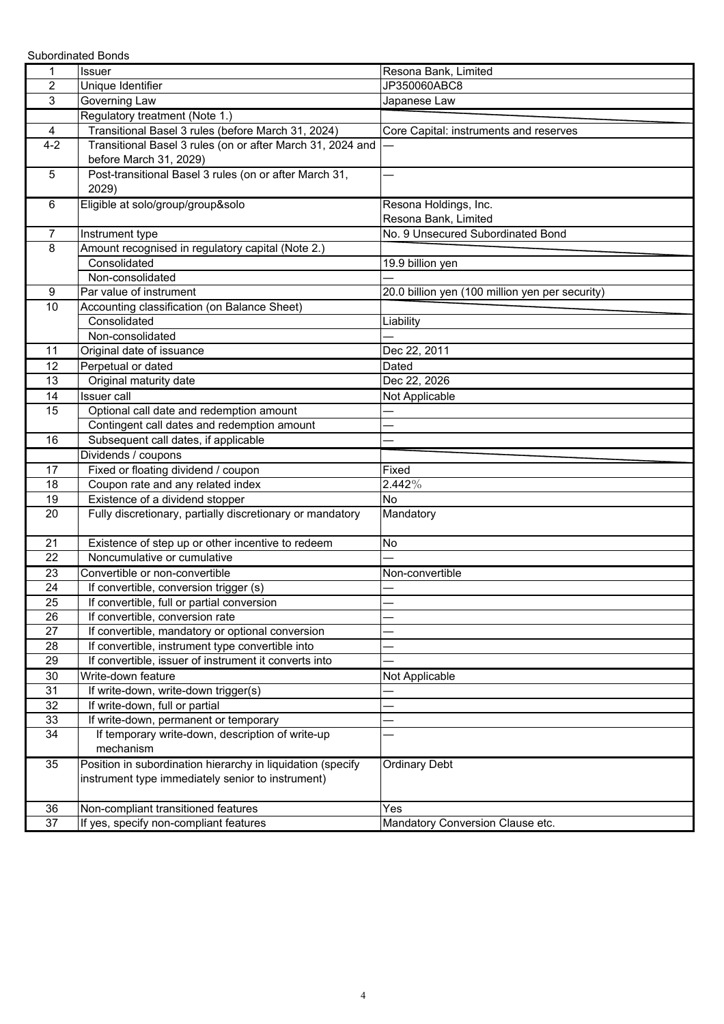Subordinated Bonds

| 1              | <b>Issuer</b>                                               | Resona Bank, Limited                            |
|----------------|-------------------------------------------------------------|-------------------------------------------------|
| $\overline{c}$ | Unique Identifier                                           | JP350060ABC8                                    |
| 3              | Governing Law                                               | Japanese Law                                    |
|                | Regulatory treatment (Note 1.)                              |                                                 |
| 4              | Transitional Basel 3 rules (before March 31, 2024)          | Core Capital: instruments and reserves          |
| $4 - 2$        | Transitional Basel 3 rules (on or after March 31, 2024 and  |                                                 |
|                | before March 31, 2029)                                      |                                                 |
| 5              | Post-transitional Basel 3 rules (on or after March 31,      |                                                 |
|                | 2029)                                                       |                                                 |
| 6              | Eligible at solo/group/group&solo                           | Resona Holdings, Inc.                           |
|                |                                                             | Resona Bank, Limited                            |
| $\overline{7}$ | Instrument type                                             | No. 9 Unsecured Subordinated Bond               |
| 8              | Amount recognised in regulatory capital (Note 2.)           |                                                 |
|                | Consolidated                                                | 19.9 billion yen                                |
|                | Non-consolidated                                            |                                                 |
| 9              | Par value of instrument                                     | 20.0 billion yen (100 million yen per security) |
| 10             | Accounting classification (on Balance Sheet)                |                                                 |
|                | Consolidated                                                | Liability                                       |
|                | Non-consolidated                                            |                                                 |
| 11             | Original date of issuance                                   | Dec 22, 2011                                    |
| 12             | Perpetual or dated                                          | Dated                                           |
| 13             | Original maturity date                                      | Dec 22, 2026                                    |
| 14             | <b>Issuer</b> call                                          | Not Applicable                                  |
| 15             | Optional call date and redemption amount                    |                                                 |
|                | Contingent call dates and redemption amount                 |                                                 |
| 16             | Subsequent call dates, if applicable                        |                                                 |
|                | Dividends / coupons                                         |                                                 |
| 17             | Fixed or floating dividend / coupon                         | Fixed                                           |
| 18             | Coupon rate and any related index                           | 2.442%                                          |
| 19             | Existence of a dividend stopper                             | No                                              |
| 20             | Fully discretionary, partially discretionary or mandatory   | Mandatory                                       |
|                |                                                             |                                                 |
| 21             | Existence of step up or other incentive to redeem           | No                                              |
| 22             | Noncumulative or cumulative                                 |                                                 |
| 23             | Convertible or non-convertible                              | Non-convertible                                 |
| 24             | If convertible, conversion trigger (s)                      |                                                 |
| 25             | If convertible, full or partial conversion                  |                                                 |
| 26             | If convertible, conversion rate                             |                                                 |
| 27             | If convertible, mandatory or optional conversion            |                                                 |
| 28             | If convertible, instrument type convertible into            |                                                 |
| 29             | If convertible, issuer of instrument it converts into       |                                                 |
| 30             | Write-down feature                                          | Not Applicable                                  |
| 31             | If write-down, write-down trigger(s)                        |                                                 |
| 32             | If write-down, full or partial                              |                                                 |
| 33             | If write-down, permanent or temporary                       |                                                 |
| 34             | If temporary write-down, description of write-up            |                                                 |
|                | mechanism                                                   |                                                 |
| 35             | Position in subordination hierarchy in liquidation (specify | <b>Ordinary Debt</b>                            |
|                | instrument type immediately senior to instrument)           |                                                 |
|                |                                                             |                                                 |
| 36             | Non-compliant transitioned features                         | Yes                                             |
| 37             | If yes, specify non-compliant features                      | Mandatory Conversion Clause etc.                |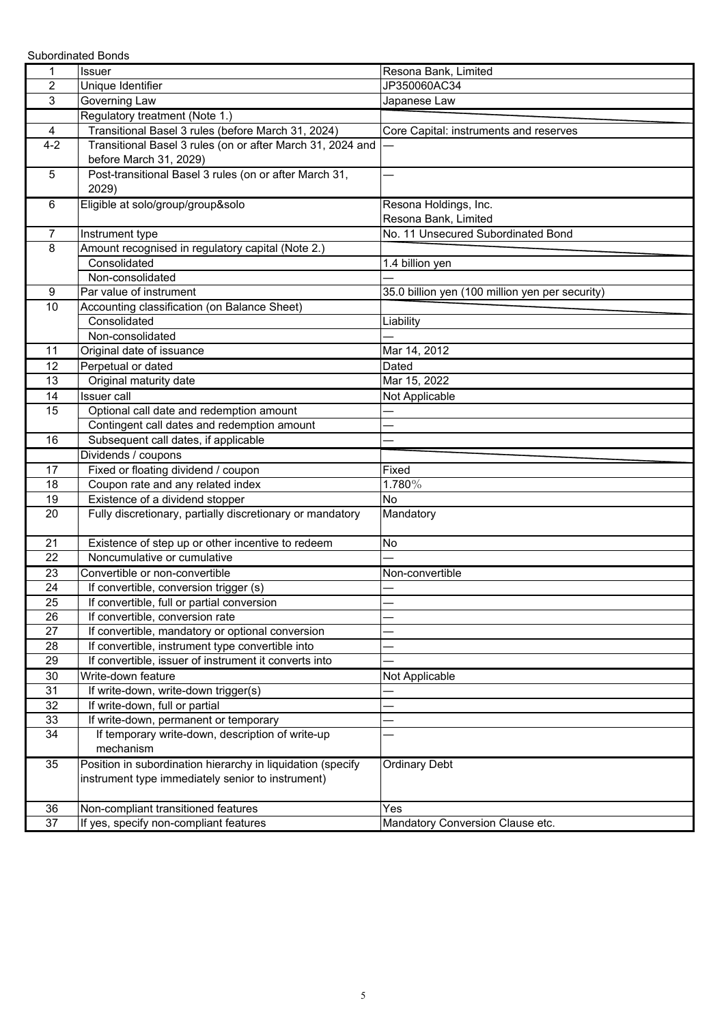Subordinated Bonds

| 1              | <b>Issuer</b>                                               | Resona Bank, Limited                            |
|----------------|-------------------------------------------------------------|-------------------------------------------------|
| $\overline{c}$ | Unique Identifier                                           | JP350060AC34                                    |
| 3              | Governing Law                                               | Japanese Law                                    |
|                | Regulatory treatment (Note 1.)                              |                                                 |
| 4              | Transitional Basel 3 rules (before March 31, 2024)          | Core Capital: instruments and reserves          |
| $4 - 2$        | Transitional Basel 3 rules (on or after March 31, 2024 and  |                                                 |
|                | before March 31, 2029)                                      |                                                 |
| 5              | Post-transitional Basel 3 rules (on or after March 31,      |                                                 |
|                | 2029)                                                       |                                                 |
| 6              | Eligible at solo/group/group&solo                           | Resona Holdings, Inc.                           |
|                |                                                             | Resona Bank, Limited                            |
| $\overline{7}$ | Instrument type                                             | No. 11 Unsecured Subordinated Bond              |
| 8              | Amount recognised in regulatory capital (Note 2.)           |                                                 |
|                | Consolidated                                                | 1.4 billion yen                                 |
|                | Non-consolidated                                            |                                                 |
| 9              | Par value of instrument                                     | 35.0 billion yen (100 million yen per security) |
| 10             | Accounting classification (on Balance Sheet)                |                                                 |
|                | Consolidated                                                | Liability                                       |
|                | Non-consolidated                                            |                                                 |
| 11             | Original date of issuance                                   | Mar 14, 2012                                    |
| 12             | Perpetual or dated                                          | Dated                                           |
| 13             | Original maturity date                                      | Mar 15, 2022                                    |
| 14             | <b>Issuer</b> call                                          | Not Applicable                                  |
| 15             | Optional call date and redemption amount                    |                                                 |
|                | Contingent call dates and redemption amount                 |                                                 |
| 16             | Subsequent call dates, if applicable                        |                                                 |
|                | Dividends / coupons                                         |                                                 |
| 17             | Fixed or floating dividend / coupon                         | Fixed                                           |
| 18             | Coupon rate and any related index                           | 1.780%                                          |
| 19             | Existence of a dividend stopper                             | <b>No</b>                                       |
| 20             | Fully discretionary, partially discretionary or mandatory   | Mandatory                                       |
|                |                                                             |                                                 |
| 21             | Existence of step up or other incentive to redeem           | No                                              |
| 22             | Noncumulative or cumulative                                 |                                                 |
| 23             | Convertible or non-convertible                              | Non-convertible                                 |
| 24             | If convertible, conversion trigger (s)                      |                                                 |
| 25             | If convertible, full or partial conversion                  |                                                 |
| 26             | If convertible, conversion rate                             |                                                 |
| 27             | If convertible, mandatory or optional conversion            |                                                 |
| 28             | If convertible, instrument type convertible into            |                                                 |
| 29             | If convertible, issuer of instrument it converts into       |                                                 |
| 30             | Write-down feature                                          | Not Applicable                                  |
| 31             | If write-down, write-down trigger(s)                        |                                                 |
| 32             | If write-down, full or partial                              |                                                 |
| 33             | If write-down, permanent or temporary                       |                                                 |
| 34             | If temporary write-down, description of write-up            |                                                 |
|                | mechanism                                                   |                                                 |
| 35             | Position in subordination hierarchy in liquidation (specify | <b>Ordinary Debt</b>                            |
|                | instrument type immediately senior to instrument)           |                                                 |
|                |                                                             |                                                 |
| 36             | Non-compliant transitioned features                         | Yes                                             |
| 37             | If yes, specify non-compliant features                      | Mandatory Conversion Clause etc.                |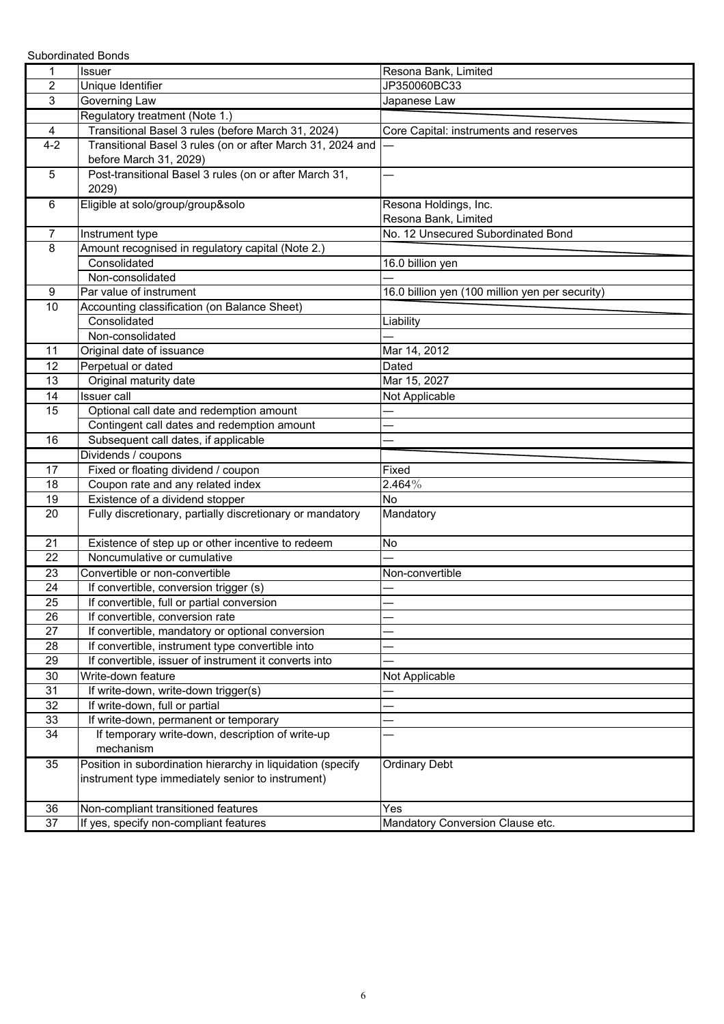Subordinated Bonds

| 1              | Issuer                                                      | Resona Bank, Limited                            |
|----------------|-------------------------------------------------------------|-------------------------------------------------|
| $\overline{c}$ | Unique Identifier                                           | JP350060BC33                                    |
| 3              | Governing Law                                               | Japanese Law                                    |
|                | Regulatory treatment (Note 1.)                              |                                                 |
| 4              | Transitional Basel 3 rules (before March 31, 2024)          | Core Capital: instruments and reserves          |
| $4 - 2$        | Transitional Basel 3 rules (on or after March 31, 2024 and  |                                                 |
|                | before March 31, 2029)                                      |                                                 |
| 5              | Post-transitional Basel 3 rules (on or after March 31,      |                                                 |
|                | 2029)                                                       |                                                 |
| 6              | Eligible at solo/group/group&solo                           | Resona Holdings, Inc.                           |
|                |                                                             | Resona Bank, Limited                            |
| $\overline{7}$ | Instrument type                                             | No. 12 Unsecured Subordinated Bond              |
| 8              | Amount recognised in regulatory capital (Note 2.)           |                                                 |
|                | Consolidated                                                | 16.0 billion yen                                |
|                | Non-consolidated                                            |                                                 |
| 9              | Par value of instrument                                     | 16.0 billion yen (100 million yen per security) |
| 10             | Accounting classification (on Balance Sheet)                |                                                 |
|                | Consolidated                                                | Liability                                       |
|                | Non-consolidated                                            |                                                 |
| 11             | Original date of issuance                                   | Mar 14, 2012                                    |
| 12             | Perpetual or dated                                          | Dated                                           |
| 13             | Original maturity date                                      | Mar 15, 2027                                    |
| 14             | <b>Issuer</b> call                                          | Not Applicable                                  |
| 15             | Optional call date and redemption amount                    |                                                 |
|                | Contingent call dates and redemption amount                 |                                                 |
| 16             | Subsequent call dates, if applicable                        |                                                 |
|                | Dividends / coupons                                         |                                                 |
| 17             | Fixed or floating dividend / coupon                         | Fixed                                           |
| 18             | Coupon rate and any related index                           | 2.464%                                          |
| 19             | Existence of a dividend stopper                             | No                                              |
| 20             | Fully discretionary, partially discretionary or mandatory   | Mandatory                                       |
|                |                                                             |                                                 |
| 21             | Existence of step up or other incentive to redeem           | No                                              |
| 22             | Noncumulative or cumulative                                 |                                                 |
| 23             | Convertible or non-convertible                              | Non-convertible                                 |
| 24             | If convertible, conversion trigger (s)                      |                                                 |
| 25             | If convertible, full or partial conversion                  |                                                 |
| 26             | If convertible, conversion rate                             |                                                 |
| 27             | If convertible, mandatory or optional conversion            |                                                 |
| 28             | If convertible, instrument type convertible into            |                                                 |
| 29             | If convertible, issuer of instrument it converts into       |                                                 |
| 30             | Write-down feature                                          | Not Applicable                                  |
| 31             | If write-down, write-down trigger(s)                        |                                                 |
| 32             | If write-down, full or partial                              |                                                 |
| 33             | If write-down, permanent or temporary                       |                                                 |
| 34             | If temporary write-down, description of write-up            |                                                 |
|                | mechanism                                                   |                                                 |
| 35             | Position in subordination hierarchy in liquidation (specify | <b>Ordinary Debt</b>                            |
|                | instrument type immediately senior to instrument)           |                                                 |
|                |                                                             |                                                 |
| 36             | Non-compliant transitioned features                         | Yes                                             |
| 37             | If yes, specify non-compliant features                      | Mandatory Conversion Clause etc.                |